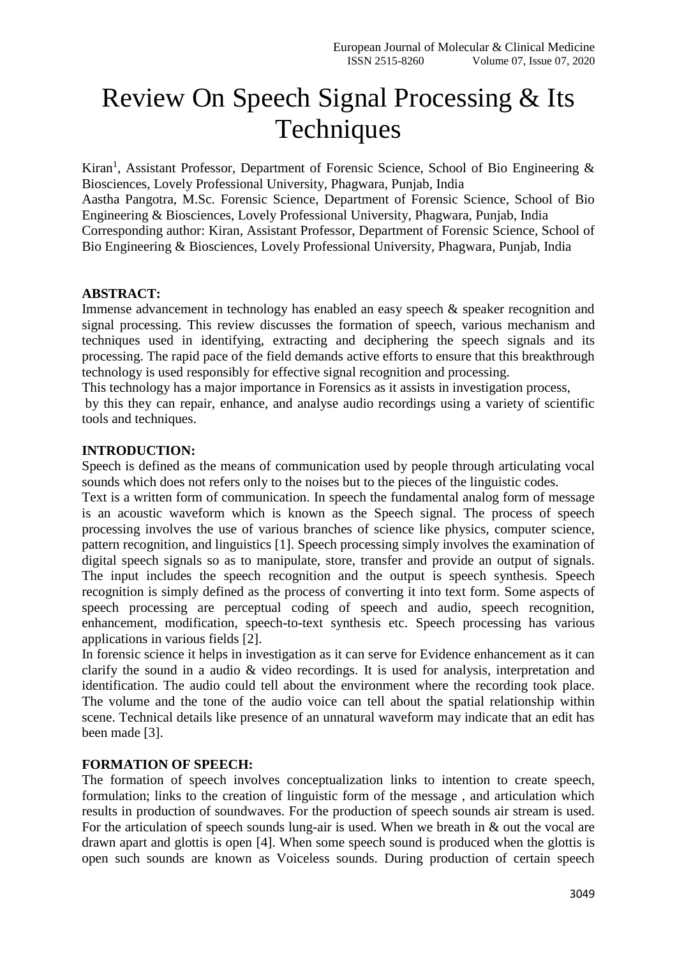# Review On Speech Signal Processing & Its **Techniques**

Kiran<sup>1</sup>, Assistant Professor, Department of Forensic Science, School of Bio Engineering & Biosciences, Lovely Professional University, Phagwara, Punjab, India Aastha Pangotra, M.Sc. Forensic Science, Department of Forensic Science, School of Bio Engineering & Biosciences, Lovely Professional University, Phagwara, Punjab, India Corresponding author: Kiran, Assistant Professor, Department of Forensic Science, School of Bio Engineering & Biosciences, Lovely Professional University, Phagwara, Punjab, India

### **ABSTRACT:**

Immense advancement in technology has enabled an easy speech & speaker recognition and signal processing. This review discusses the formation of speech, various mechanism and techniques used in identifying, extracting and deciphering the speech signals and its processing. The rapid pace of the field demands active efforts to ensure that this breakthrough technology is used responsibly for effective signal recognition and processing.

This technology has a major importance in Forensics as it assists in investigation process,

by this they can repair, enhance, and analyse audio recordings using a variety of scientific tools and techniques.

## **INTRODUCTION:**

Speech is defined as the means of communication used by people through articulating vocal sounds which does not refers only to the noises but to the pieces of the linguistic codes.

Text is a written form of communication. In speech the fundamental analog form of message is an acoustic waveform which is known as the Speech signal. The process of speech processing involves the use of various branches of science like physics, computer science, pattern recognition, and linguistics [1]. Speech processing simply involves the examination of digital speech signals so as to manipulate, store, transfer and provide an output of signals. The input includes the speech recognition and the output is speech synthesis. Speech recognition is simply defined as the process of converting it into text form. Some aspects of speech processing are perceptual coding of speech and audio, speech recognition, enhancement, modification, speech-to-text synthesis etc. Speech processing has various applications in various fields [2].

In forensic science it helps in investigation as it can serve for Evidence enhancement as it can clarify the sound in a audio & video recordings. It is used for analysis, interpretation and identification. The audio could tell about the environment where the recording took place. The volume and the tone of the audio voice can tell about the spatial relationship within scene. Technical details like presence of an unnatural waveform may indicate that an edit has been made [3].

# **FORMATION OF SPEECH:**

The formation of speech involves conceptualization links to intention to create speech, formulation; links to the creation of linguistic form of the message , and articulation which results in production of soundwaves. For the production of speech sounds air stream is used. For the articulation of speech sounds lung-air is used. When we breath in & out the vocal are drawn apart and glottis is open [4]. When some speech sound is produced when the glottis is open such sounds are known as Voiceless sounds. During production of certain speech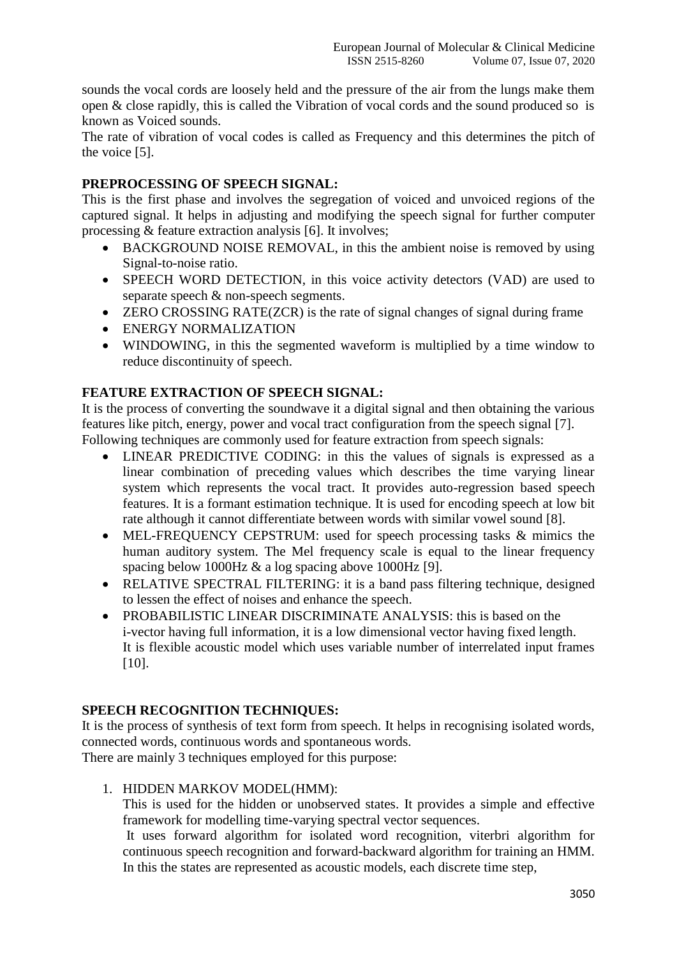sounds the vocal cords are loosely held and the pressure of the air from the lungs make them open & close rapidly, this is called the Vibration of vocal cords and the sound produced so is known as Voiced sounds.

The rate of vibration of vocal codes is called as Frequency and this determines the pitch of the voice [5].

## **PREPROCESSING OF SPEECH SIGNAL:**

This is the first phase and involves the segregation of voiced and unvoiced regions of the captured signal. It helps in adjusting and modifying the speech signal for further computer processing & feature extraction analysis [6]. It involves;

- BACKGROUND NOISE REMOVAL, in this the ambient noise is removed by using Signal-to-noise ratio.
- SPEECH WORD DETECTION, in this voice activity detectors (VAD) are used to separate speech & non-speech segments.
- ZERO CROSSING RATE(ZCR) is the rate of signal changes of signal during frame
- ENERGY NORMALIZATION
- WINDOWING, in this the segmented waveform is multiplied by a time window to reduce discontinuity of speech.

# **FEATURE EXTRACTION OF SPEECH SIGNAL:**

It is the process of converting the soundwave it a digital signal and then obtaining the various features like pitch, energy, power and vocal tract configuration from the speech signal [7]. Following techniques are commonly used for feature extraction from speech signals:

- LINEAR PREDICTIVE CODING: in this the values of signals is expressed as a linear combination of preceding values which describes the time varying linear system which represents the vocal tract. It provides auto-regression based speech features. It is a formant estimation technique. It is used for encoding speech at low bit rate although it cannot differentiate between words with similar vowel sound [8].
- MEL-FREQUENCY CEPSTRUM: used for speech processing tasks & mimics the human auditory system. The Mel frequency scale is equal to the linear frequency spacing below 1000Hz & a log spacing above 1000Hz [9].
- RELATIVE SPECTRAL FILTERING: it is a band pass filtering technique, designed to lessen the effect of noises and enhance the speech.
- PROBABILISTIC LINEAR DISCRIMINATE ANALYSIS: this is based on the i-vector having full information, it is a low dimensional vector having fixed length. It is flexible acoustic model which uses variable number of interrelated input frames [10].

# **SPEECH RECOGNITION TECHNIQUES:**

It is the process of synthesis of text form from speech. It helps in recognising isolated words, connected words, continuous words and spontaneous words.

There are mainly 3 techniques employed for this purpose:

1. HIDDEN MARKOV MODEL(HMM):

This is used for the hidden or unobserved states. It provides a simple and effective framework for modelling time-varying spectral vector sequences.

It uses forward algorithm for isolated word recognition, viterbri algorithm for continuous speech recognition and forward-backward algorithm for training an HMM. In this the states are represented as acoustic models, each discrete time step,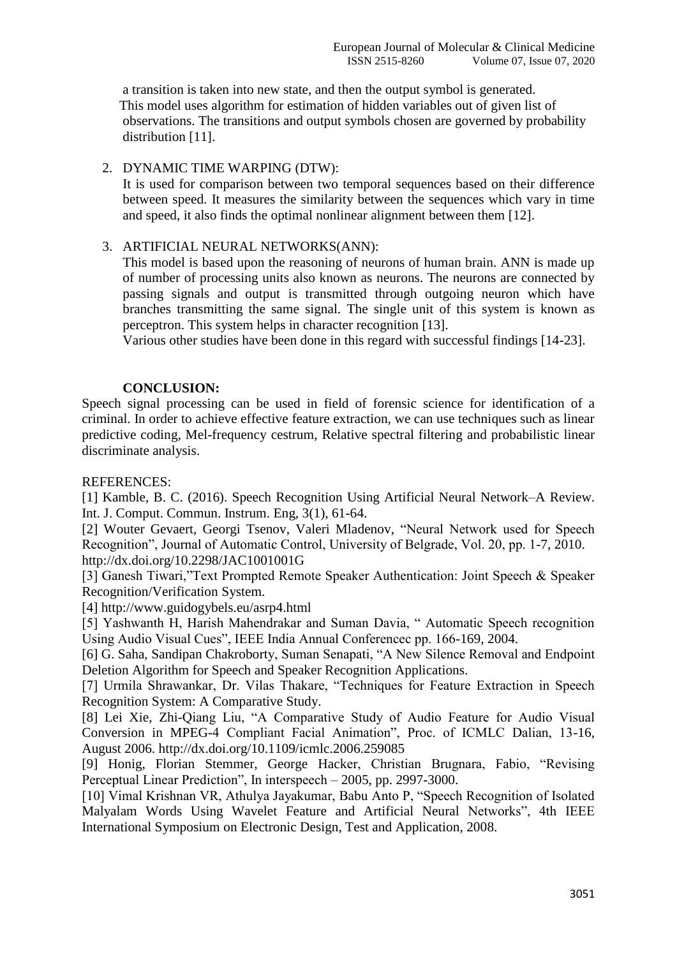a transition is taken into new state, and then the output symbol is generated. This model uses algorithm for estimation of hidden variables out of given list of observations. The transitions and output symbols chosen are governed by probability distribution [11].

### 2. DYNAMIC TIME WARPING (DTW):

It is used for comparison between two temporal sequences based on their difference between speed. It measures the similarity between the sequences which vary in time and speed, it also finds the optimal nonlinear alignment between them [12].

## 3. ARTIFICIAL NEURAL NETWORKS(ANN):

This model is based upon the reasoning of neurons of human brain. ANN is made up of number of processing units also known as neurons. The neurons are connected by passing signals and output is transmitted through outgoing neuron which have branches transmitting the same signal. The single unit of this system is known as perceptron. This system helps in character recognition [13].

Various other studies have been done in this regard with successful findings [14-23].

### **CONCLUSION:**

Speech signal processing can be used in field of forensic science for identification of a criminal. In order to achieve effective feature extraction, we can use techniques such as linear predictive coding, Mel-frequency cestrum, Relative spectral filtering and probabilistic linear discriminate analysis.

### REFERENCES:

[1] Kamble, B. C. (2016). Speech Recognition Using Artificial Neural Network–A Review. Int. J. Comput. Commun. Instrum. Eng, 3(1), 61-64.

[2] Wouter Gevaert, Georgi Tsenov, Valeri Mladenov, "Neural Network used for Speech Recognition", Journal of Automatic Control, University of Belgrade, Vol. 20, pp. 1-7, 2010. http://dx.doi.org/10.2298/JAC1001001G

[3] Ganesh Tiwari,"Text Prompted Remote Speaker Authentication: Joint Speech & Speaker Recognition/Verification System.

[4] http://www.guidogybels.eu/asrp4.html

[5] Yashwanth H, Harish Mahendrakar and Suman Davia, " Automatic Speech recognition Using Audio Visual Cues", IEEE India Annual Conferencec pp. 166-169, 2004.

[6] G. Saha, Sandipan Chakroborty, Suman Senapati, "A New Silence Removal and Endpoint Deletion Algorithm for Speech and Speaker Recognition Applications.

[7] Urmila Shrawankar, Dr. Vilas Thakare, "Techniques for Feature Extraction in Speech Recognition System: A Comparative Study.

[8] Lei Xie, Zhi-Qiang Liu, "A Comparative Study of Audio Feature for Audio Visual Conversion in MPEG-4 Compliant Facial Animation", Proc. of ICMLC Dalian, 13-16, August 2006. http://dx.doi.org/10.1109/icmlc.2006.259085

[9] Honig, Florian Stemmer, George Hacker, Christian Brugnara, Fabio, "Revising Perceptual Linear Prediction", In interspeech – 2005, pp. 2997-3000.

[10] Vimal Krishnan VR, Athulya Jayakumar, Babu Anto P, "Speech Recognition of Isolated Malyalam Words Using Wavelet Feature and Artificial Neural Networks", 4th IEEE International Symposium on Electronic Design, Test and Application, 2008.